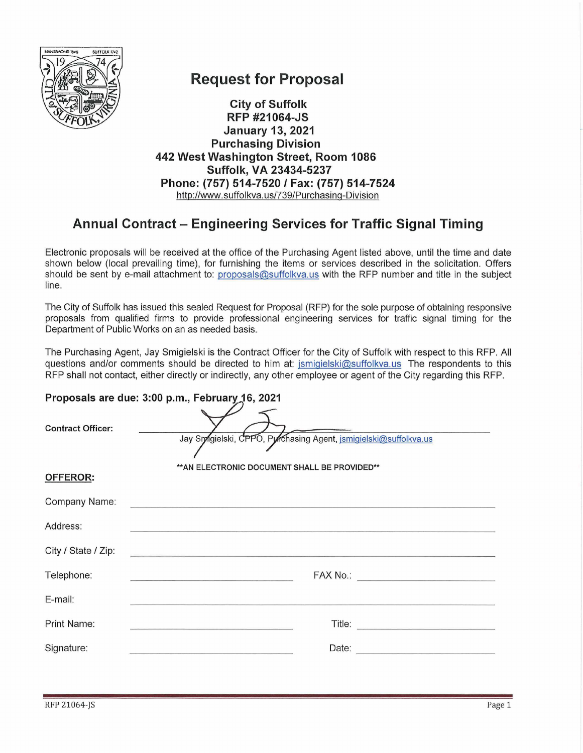

## **Request for Proposal**

**City of Suffolk RFP #21064-JS January 13, 2021 Purchasing Division** 442 West Washington Street, Room 1086 Suffolk, VA 23434-5237 Phone: (757) 514-7520 / Fax: (757) 514-7524 http://www.suffolkva.us/739/Purchasing-Division

## Annual Contract – Engineering Services for Traffic Signal Timing

Electronic proposals will be received at the office of the Purchasing Agent listed above, until the time and date shown below (local prevailing time), for furnishing the items or services described in the solicitation. Offers should be sent by e-mail attachment to: proposals@suffolkva.us with the RFP number and title in the subject line.

The City of Suffolk has issued this sealed Request for Proposal (RFP) for the sole purpose of obtaining responsive proposals from qualified firms to provide professional engineering services for traffic signal timing for the Department of Public Works on an as needed basis.

The Purchasing Agent, Jay Smigielski is the Contract Officer for the City of Suffolk with respect to this RFP. All questions and/or comments should be directed to him at: jsmigielski@suffolkva.us The respondents to this RFP shall not contact, either directly or indirectly, any other employee or agent of the City regarding this RFP.

| Proposals are due: 3:00 p.m., February 16, 2021 |                                                                 |  |  |  |  |
|-------------------------------------------------|-----------------------------------------------------------------|--|--|--|--|
| <b>Contract Officer:</b>                        | Jay Smgielski, CPPO, Pyrchasing Agent, jsmigielski@suffolkva.us |  |  |  |  |
| <b>OFFEROR:</b>                                 | ** AN ELECTRONIC DOCUMENT SHALL BE PROVIDED**                   |  |  |  |  |
| Company Name:                                   |                                                                 |  |  |  |  |
| Address:                                        |                                                                 |  |  |  |  |
| City / State / Zip:                             |                                                                 |  |  |  |  |
| Telephone:                                      |                                                                 |  |  |  |  |
| E-mail:                                         |                                                                 |  |  |  |  |
| Print Name:                                     |                                                                 |  |  |  |  |
| Signature:                                      | Date:                                                           |  |  |  |  |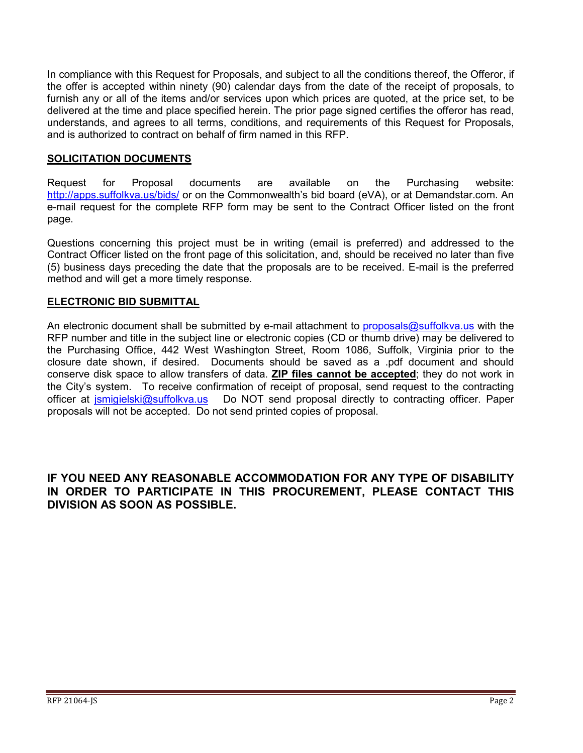In compliance with this Request for Proposals, and subject to all the conditions thereof, the Offeror, if the offer is accepted within ninety (90) calendar days from the date of the receipt of proposals, to furnish any or all of the items and/or services upon which prices are quoted, at the price set, to be delivered at the time and place specified herein. The prior page signed certifies the offeror has read, understands, and agrees to all terms, conditions, and requirements of this Request for Proposals, and is authorized to contract on behalf of firm named in this RFP.

#### **SOLICITATION DOCUMENTS**

Request for Proposal documents are available on the Purchasing website: <u><http://apps.suffolkva.us/bids/></u> or on the Commonwealth's bid board (eVA), or at Demandstar.com. An e-mail request for the complete RFP form may be sent to the Contract Officer listed on the front page.

Questions concerning this project must be in writing (email is preferred) and addressed to the Contract Officer listed on the front page of this solicitation, and, should be received no later than five (5) business days preceding the date that the proposals are to be received. E-mail is the preferred method and will get a more timely response.

#### **ELECTRONIC BID SUBMITTAL**

An electronic document shall be submitted by e-mail attachment to [proposals@suffolkva.us](mailto:proposals@suffolkva.us) with the RFP number and title in the subject line or electronic copies (CD or thumb drive) may be delivered to the Purchasing Office, 442 West Washington Street, Room 1086, Suffolk, Virginia prior to the closure date shown, if desired. Documents should be saved as a .pdf document and should conserve disk space to allow transfers of data. **ZIP files cannot be accepted**; they do not work in the City's system. To receive confirmation of receipt of proposal, send request to the contracting officer at [jsmigielski@suffolkva.us](mailto:jsmigielski@suffolkva.us) Do NOT send proposal directly to contracting officer. Paper proposals will not be accepted. Do not send printed copies of proposal.

#### **IF YOU NEED ANY REASONABLE ACCOMMODATION FOR ANY TYPE OF DISABILITY IN ORDER TO PARTICIPATE IN THIS PROCUREMENT, PLEASE CONTACT THIS DIVISION AS SOON AS POSSIBLE.**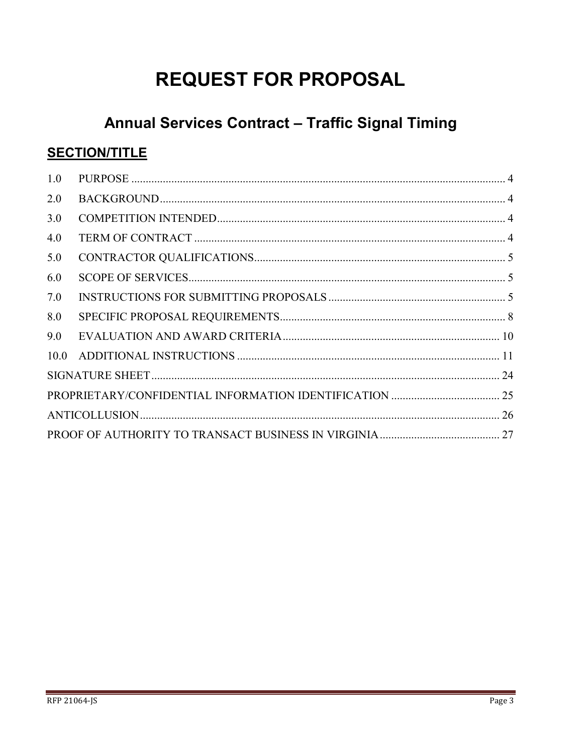# **REQUEST FOR PROPOSAL**

# Annual Services Contract - Traffic Signal Timing

## **SECTION/TITLE**

| 1.0  |  |  |  |
|------|--|--|--|
| 2.0  |  |  |  |
| 3.0  |  |  |  |
| 4.0  |  |  |  |
| 5.0  |  |  |  |
| 6.0  |  |  |  |
| 7.0  |  |  |  |
| 8.0  |  |  |  |
| 9.0  |  |  |  |
| 10.0 |  |  |  |
|      |  |  |  |
|      |  |  |  |
|      |  |  |  |
|      |  |  |  |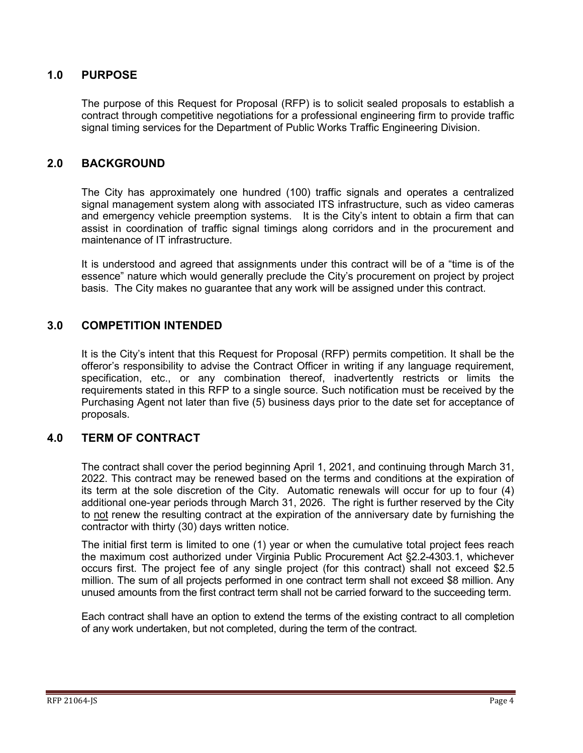#### <span id="page-3-0"></span>**1.0 PURPOSE**

The purpose of this Request for Proposal (RFP) is to solicit sealed proposals to establish a contract through competitive negotiations for a professional engineering firm to provide traffic signal timing services for the Department of Public Works Traffic Engineering Division.

#### <span id="page-3-1"></span>**2.0 BACKGROUND**

The City has approximately one hundred (100) traffic signals and operates a centralized signal management system along with associated ITS infrastructure, such as video cameras and emergency vehicle preemption systems. It is the City's intent to obtain a firm that can assist in coordination of traffic signal timings along corridors and in the procurement and maintenance of IT infrastructure.

It is understood and agreed that assignments under this contract will be of a "time is of the essence" nature which would generally preclude the City's procurement on project by project basis. The City makes no guarantee that any work will be assigned under this contract.

### <span id="page-3-2"></span>**3.0 COMPETITION INTENDED**

It is the City's intent that this Request for Proposal (RFP) permits competition. It shall be the offeror's responsibility to advise the Contract Officer in writing if any language requirement, specification, etc., or any combination thereof, inadvertently restricts or limits the requirements stated in this RFP to a single source. Such notification must be received by the Purchasing Agent not later than five (5) business days prior to the date set for acceptance of proposals.

#### <span id="page-3-3"></span>**4.0 TERM OF CONTRACT**

The contract shall cover the period beginning April 1, 2021, and continuing through March 31, 2022. This contract may be renewed based on the terms and conditions at the expiration of its term at the sole discretion of the City. Automatic renewals will occur for up to four (4) additional one-year periods through March 31, 2026. The right is further reserved by the City to not renew the resulting contract at the expiration of the anniversary date by furnishing the contractor with thirty (30) days written notice.

The initial first term is limited to one (1) year or when the cumulative total project fees reach the maximum cost authorized under Virginia Public Procurement Act §2.2-4303.1, whichever occurs first. The project fee of any single project (for this contract) shall not exceed \$2.5 million. The sum of all projects performed in one contract term shall not exceed \$8 million. Any unused amounts from the first contract term shall not be carried forward to the succeeding term.

Each contract shall have an option to extend the terms of the existing contract to all completion of any work undertaken, but not completed, during the term of the contract.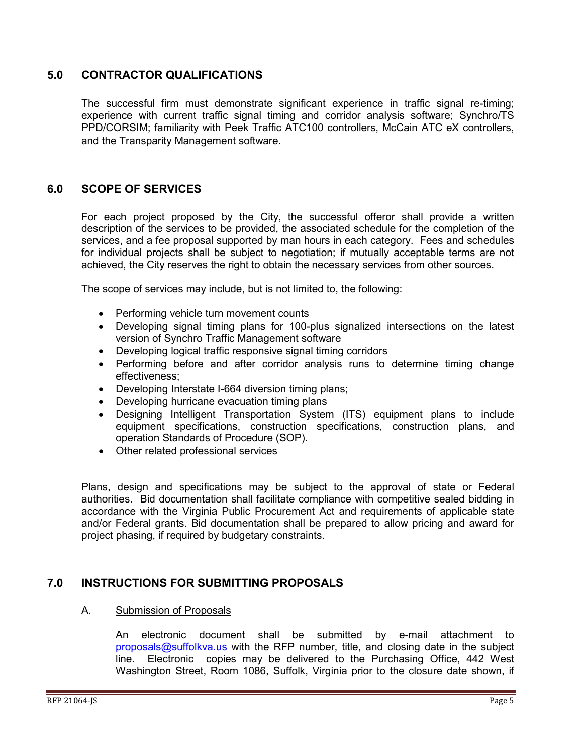#### <span id="page-4-0"></span>**5.0 CONTRACTOR QUALIFICATIONS**

The successful firm must demonstrate significant experience in traffic signal re-timing; experience with current traffic signal timing and corridor analysis software; Synchro/TS PPD/CORSIM; familiarity with Peek Traffic ATC100 controllers, McCain ATC eX controllers, and the Transparity Management software.

#### <span id="page-4-1"></span>**6.0 SCOPE OF SERVICES**

For each project proposed by the City, the successful offeror shall provide a written description of the services to be provided, the associated schedule for the completion of the services, and a fee proposal supported by man hours in each category. Fees and schedules for individual projects shall be subject to negotiation; if mutually acceptable terms are not achieved, the City reserves the right to obtain the necessary services from other sources.

The scope of services may include, but is not limited to, the following:

- Performing vehicle turn movement counts
- Developing signal timing plans for 100-plus signalized intersections on the latest version of Synchro Traffic Management software
- Developing logical traffic responsive signal timing corridors
- Performing before and after corridor analysis runs to determine timing change effectiveness;
- Developing Interstate I-664 diversion timing plans;
- Developing hurricane evacuation timing plans
- Designing Intelligent Transportation System (ITS) equipment plans to include equipment specifications, construction specifications, construction plans, and operation Standards of Procedure (SOP).
- Other related professional services

Plans, design and specifications may be subject to the approval of state or Federal authorities. Bid documentation shall facilitate compliance with competitive sealed bidding in accordance with the Virginia Public Procurement Act and requirements of applicable state and/or Federal grants. Bid documentation shall be prepared to allow pricing and award for project phasing, if required by budgetary constraints.

#### <span id="page-4-2"></span>**7.0 INSTRUCTIONS FOR SUBMITTING PROPOSALS**

#### A. Submission of Proposals

An electronic document shall be submitted by e-mail attachment to [proposals@suffolkva.us](mailto:proposals@suffolkva.us) with the RFP number, title, and closing date in the subject line. Electronic copies may be delivered to the Purchasing Office, 442 West Washington Street, Room 1086, Suffolk, Virginia prior to the closure date shown, if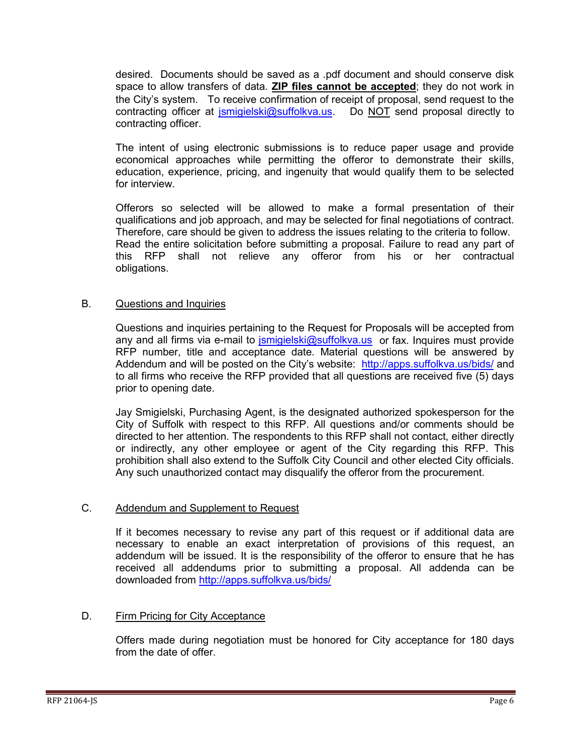desired. Documents should be saved as a .pdf document and should conserve disk space to allow transfers of data. **ZIP files cannot be accepted**; they do not work in the City's system. To receive confirmation of receipt of proposal, send request to the contracting officer at *ismigielski@suffolkva.us*. Do NOT send proposal directly to contracting officer.

The intent of using electronic submissions is to reduce paper usage and provide economical approaches while permitting the offeror to demonstrate their skills, education, experience, pricing, and ingenuity that would qualify them to be selected for interview.

Offerors so selected will be allowed to make a formal presentation of their qualifications and job approach, and may be selected for final negotiations of contract. Therefore, care should be given to address the issues relating to the criteria to follow. Read the entire solicitation before submitting a proposal. Failure to read any part of this RFP shall not relieve any offeror from his or her contractual obligations.

#### B. Questions and Inquiries

Questions and inquiries pertaining to the Request for Proposals will be accepted from any and all firms via e-mail to *jsmigielski@suffolkva.us* or fax. Inquires must provide RFP number, title and acceptance date. Material questions will be answered by Addendum and will be posted on the City's website: <http://apps.suffolkva.us/bids/> and to all firms who receive the RFP provided that all questions are received five (5) days prior to opening date.

Jay Smigielski, Purchasing Agent, is the designated authorized spokesperson for the City of Suffolk with respect to this RFP. All questions and/or comments should be directed to her attention. The respondents to this RFP shall not contact, either directly or indirectly, any other employee or agent of the City regarding this RFP. This prohibition shall also extend to the Suffolk City Council and other elected City officials. Any such unauthorized contact may disqualify the offeror from the procurement.

#### C. Addendum and Supplement to Request

If it becomes necessary to revise any part of this request or if additional data are necessary to enable an exact interpretation of provisions of this request, an addendum will be issued. It is the responsibility of the offeror to ensure that he has received all addendums prior to submitting a proposal. All addenda can be downloaded from<http://apps.suffolkva.us/bids/>

#### D. Firm Pricing for City Acceptance

Offers made during negotiation must be honored for City acceptance for 180 days from the date of offer.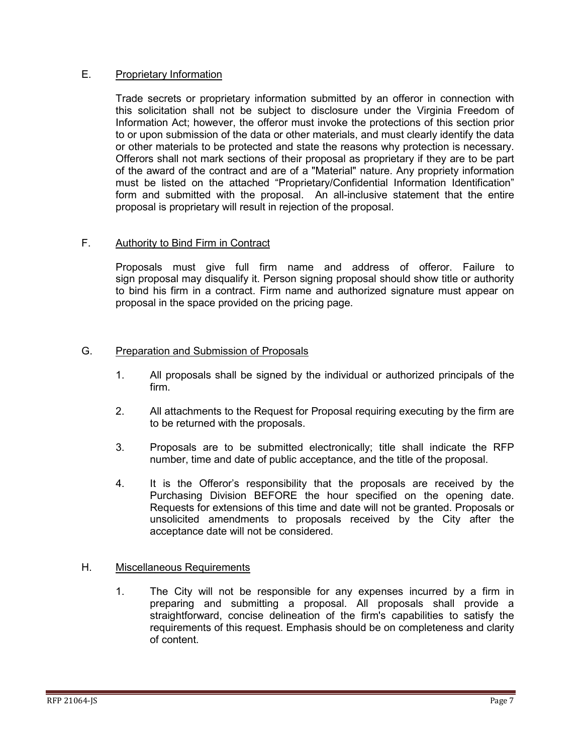#### E. Proprietary Information

Trade secrets or proprietary information submitted by an offeror in connection with this solicitation shall not be subject to disclosure under the Virginia Freedom of Information Act; however, the offeror must invoke the protections of this section prior to or upon submission of the data or other materials, and must clearly identify the data or other materials to be protected and state the reasons why protection is necessary. Offerors shall not mark sections of their proposal as proprietary if they are to be part of the award of the contract and are of a "Material" nature. Any propriety information must be listed on the attached "Proprietary/Confidential Information Identification" form and submitted with the proposal. An all-inclusive statement that the entire proposal is proprietary will result in rejection of the proposal.

#### F. Authority to Bind Firm in Contract

Proposals must give full firm name and address of offeror. Failure to sign proposal may disqualify it. Person signing proposal should show title or authority to bind his firm in a contract. Firm name and authorized signature must appear on proposal in the space provided on the pricing page.

#### G. Preparation and Submission of Proposals

- 1. All proposals shall be signed by the individual or authorized principals of the firm.
- 2. All attachments to the Request for Proposal requiring executing by the firm are to be returned with the proposals.
- 3. Proposals are to be submitted electronically; title shall indicate the RFP number, time and date of public acceptance, and the title of the proposal.
- 4. It is the Offeror's responsibility that the proposals are received by the Purchasing Division BEFORE the hour specified on the opening date. Requests for extensions of this time and date will not be granted. Proposals or unsolicited amendments to proposals received by the City after the acceptance date will not be considered.

#### H. Miscellaneous Requirements

1. The City will not be responsible for any expenses incurred by a firm in preparing and submitting a proposal. All proposals shall provide a straightforward, concise delineation of the firm's capabilities to satisfy the requirements of this request. Emphasis should be on completeness and clarity of content.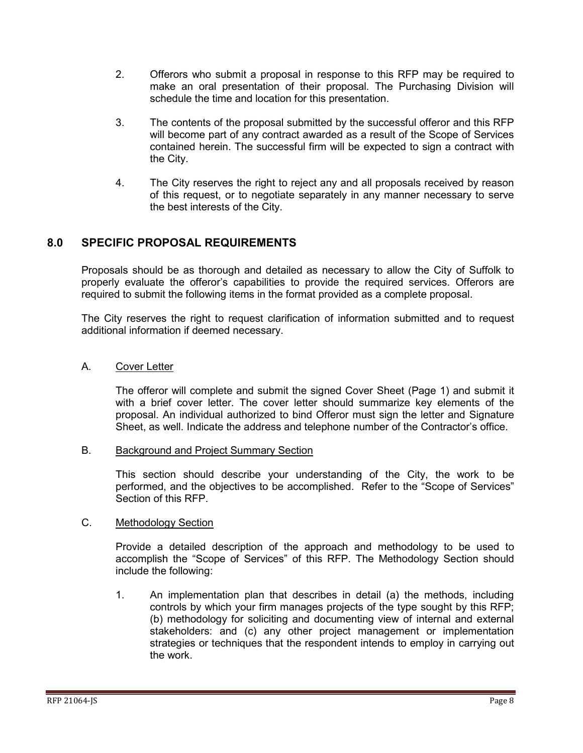- 2. Offerors who submit a proposal in response to this RFP may be required to make an oral presentation of their proposal. The Purchasing Division will schedule the time and location for this presentation.
- 3. The contents of the proposal submitted by the successful offeror and this RFP will become part of any contract awarded as a result of the Scope of Services contained herein. The successful firm will be expected to sign a contract with the City.
- 4. The City reserves the right to reject any and all proposals received by reason of this request, or to negotiate separately in any manner necessary to serve the best interests of the City.

### <span id="page-7-0"></span>**8.0 SPECIFIC PROPOSAL REQUIREMENTS**

Proposals should be as thorough and detailed as necessary to allow the City of Suffolk to properly evaluate the offeror's capabilities to provide the required services. Offerors are required to submit the following items in the format provided as a complete proposal.

The City reserves the right to request clarification of information submitted and to request additional information if deemed necessary.

#### A. Cover Letter

The offeror will complete and submit the signed Cover Sheet (Page 1) and submit it with a brief cover letter. The cover letter should summarize key elements of the proposal. An individual authorized to bind Offeror must sign the letter and Signature Sheet, as well. Indicate the address and telephone number of the Contractor's office.

#### B. Background and Project Summary Section

This section should describe your understanding of the City, the work to be performed, and the objectives to be accomplished. Refer to the "Scope of Services" Section of this RFP.

#### C. Methodology Section

Provide a detailed description of the approach and methodology to be used to accomplish the "Scope of Services" of this RFP. The Methodology Section should include the following:

1. An implementation plan that describes in detail (a) the methods, including controls by which your firm manages projects of the type sought by this RFP; (b) methodology for soliciting and documenting view of internal and external stakeholders: and (c) any other project management or implementation strategies or techniques that the respondent intends to employ in carrying out the work.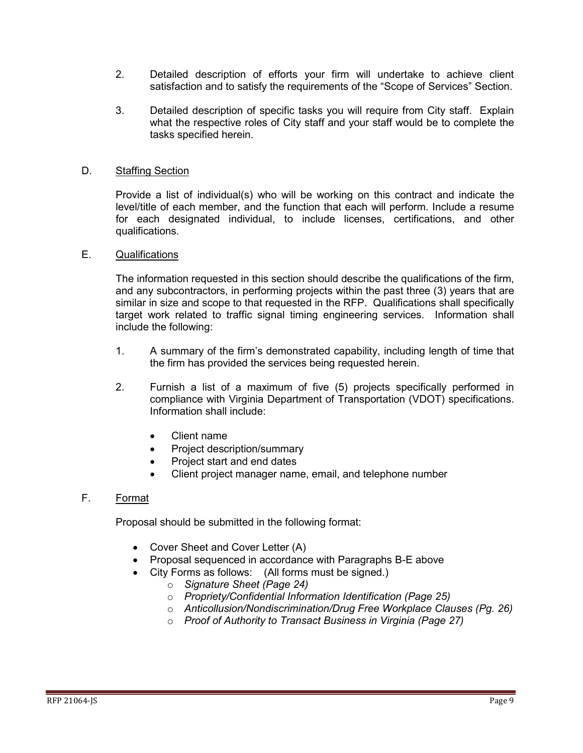- 2. Detailed description of efforts your firm will undertake to achieve client satisfaction and to satisfy the requirements of the "Scope of Services" Section.
- 3. Detailed description of specific tasks you will require from City staff. Explain what the respective roles of City staff and your staff would be to complete the tasks specified herein.

#### D. Staffing Section

Provide a list of individual(s) who will be working on this contract and indicate the level/title of each member, and the function that each will perform. Include a resume for each designated individual, to include licenses, certifications, and other qualifications.

#### E. Qualifications

The information requested in this section should describe the qualifications of the firm, and any subcontractors, in performing projects within the past three (3) years that are similar in size and scope to that requested in the RFP. Qualifications shall specifically target work related to traffic signal timing engineering services. Information shall include the following:

- 1. A summary of the firm's demonstrated capability, including length of time that the firm has provided the services being requested herein.
- 2. Furnish a list of a maximum of five (5) projects specifically performed in compliance with Virginia Department of Transportation (VDOT) specifications. Information shall include:
	- Client name
	- Project description/summary
	- Project start and end dates
	- Client project manager name, email, and telephone number

#### F. Format

Proposal should be submitted in the following format:

- Cover Sheet and Cover Letter (A)
- Proposal sequenced in accordance with Paragraphs B-E above
- City Forms as follows: (All forms must be signed.)
	- o *Signature Sheet (Page 24)*
	- o *Propriety/Confidential Information Identification (Page 25)*
	- o *Anticollusion/Nondiscrimination/Drug Free Workplace Clauses (Pg. 26)*
	- o *Proof of Authority to Transact Business in Virginia (Page 27)*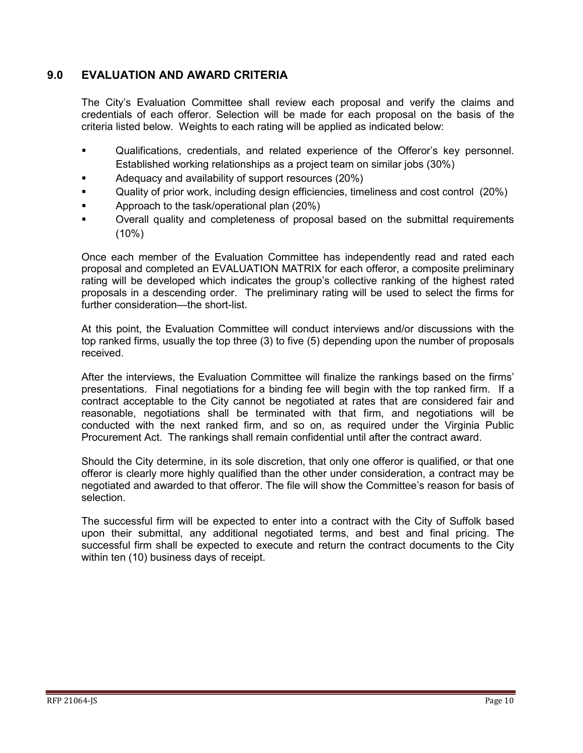### <span id="page-9-0"></span>**9.0 EVALUATION AND AWARD CRITERIA**

The City's Evaluation Committee shall review each proposal and verify the claims and credentials of each offeror. Selection will be made for each proposal on the basis of the criteria listed below. Weights to each rating will be applied as indicated below:

- Qualifications, credentials, and related experience of the Offeror's key personnel. Established working relationships as a project team on similar jobs (30%)
- Adequacy and availability of support resources (20%)
- Quality of prior work, including design efficiencies, timeliness and cost control (20%)
- Approach to the task/operational plan (20%)
- Overall quality and completeness of proposal based on the submittal requirements (10%)

Once each member of the Evaluation Committee has independently read and rated each proposal and completed an EVALUATION MATRIX for each offeror, a composite preliminary rating will be developed which indicates the group's collective ranking of the highest rated proposals in a descending order. The preliminary rating will be used to select the firms for further consideration—the short-list.

At this point, the Evaluation Committee will conduct interviews and/or discussions with the top ranked firms, usually the top three (3) to five (5) depending upon the number of proposals received.

After the interviews, the Evaluation Committee will finalize the rankings based on the firms' presentations. Final negotiations for a binding fee will begin with the top ranked firm. If a contract acceptable to the City cannot be negotiated at rates that are considered fair and reasonable, negotiations shall be terminated with that firm, and negotiations will be conducted with the next ranked firm, and so on, as required under the Virginia Public Procurement Act. The rankings shall remain confidential until after the contract award.

Should the City determine, in its sole discretion, that only one offeror is qualified, or that one offeror is clearly more highly qualified than the other under consideration, a contract may be negotiated and awarded to that offeror. The file will show the Committee's reason for basis of selection.

The successful firm will be expected to enter into a contract with the City of Suffolk based upon their submittal, any additional negotiated terms, and best and final pricing. The successful firm shall be expected to execute and return the contract documents to the City within ten (10) business days of receipt.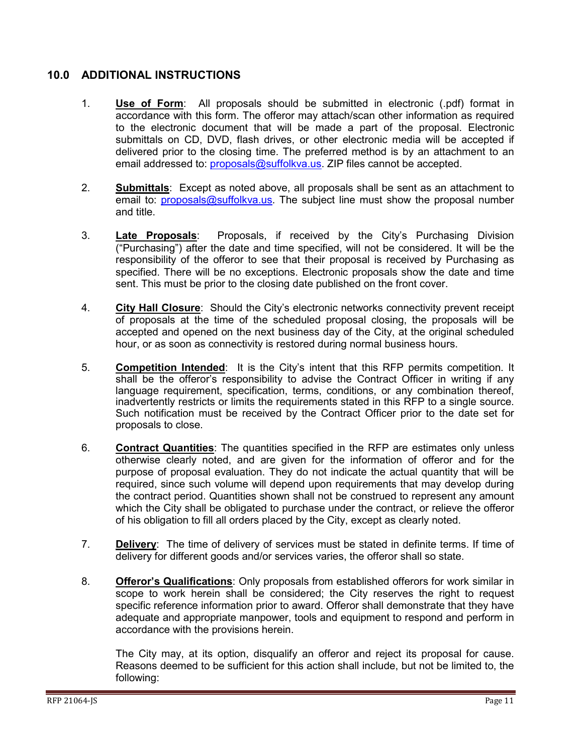#### <span id="page-10-0"></span>**10.0 ADDITIONAL INSTRUCTIONS**

- 1. **Use of Form**: All proposals should be submitted in electronic (.pdf) format in accordance with this form. The offeror may attach/scan other information as required to the electronic document that will be made a part of the proposal. Electronic submittals on CD, DVD, flash drives, or other electronic media will be accepted if delivered prior to the closing time. The preferred method is by an attachment to an email addressed to: [proposals@suffolkva.us.](mailto:proposals@suffolkva.us) ZIP files cannot be accepted.
- 2. **Submittals**: Except as noted above, all proposals shall be sent as an attachment to email to: [proposals@suffolkva.us.](mailto:proposals@suffolkva.us) The subject line must show the proposal number and title.
- 3. **Late Proposals**: Proposals, if received by the City's Purchasing Division ("Purchasing") after the date and time specified, will not be considered. It will be the responsibility of the offeror to see that their proposal is received by Purchasing as specified. There will be no exceptions. Electronic proposals show the date and time sent. This must be prior to the closing date published on the front cover.
- 4. **City Hall Closure**: Should the City's electronic networks connectivity prevent receipt of proposals at the time of the scheduled proposal closing, the proposals will be accepted and opened on the next business day of the City, at the original scheduled hour, or as soon as connectivity is restored during normal business hours.
- 5. **Competition Intended**: It is the City's intent that this RFP permits competition. It shall be the offeror's responsibility to advise the Contract Officer in writing if any language requirement, specification, terms, conditions, or any combination thereof, inadvertently restricts or limits the requirements stated in this RFP to a single source. Such notification must be received by the Contract Officer prior to the date set for proposals to close.
- 6. **Contract Quantities**: The quantities specified in the RFP are estimates only unless otherwise clearly noted, and are given for the information of offeror and for the purpose of proposal evaluation. They do not indicate the actual quantity that will be required, since such volume will depend upon requirements that may develop during the contract period. Quantities shown shall not be construed to represent any amount which the City shall be obligated to purchase under the contract, or relieve the offeror of his obligation to fill all orders placed by the City, except as clearly noted.
- 7. **Delivery**: The time of delivery of services must be stated in definite terms. If time of delivery for different goods and/or services varies, the offeror shall so state.
- 8. **Offeror's Qualifications**: Only proposals from established offerors for work similar in scope to work herein shall be considered; the City reserves the right to request specific reference information prior to award. Offeror shall demonstrate that they have adequate and appropriate manpower, tools and equipment to respond and perform in accordance with the provisions herein.

The City may, at its option, disqualify an offeror and reject its proposal for cause. Reasons deemed to be sufficient for this action shall include, but not be limited to, the following: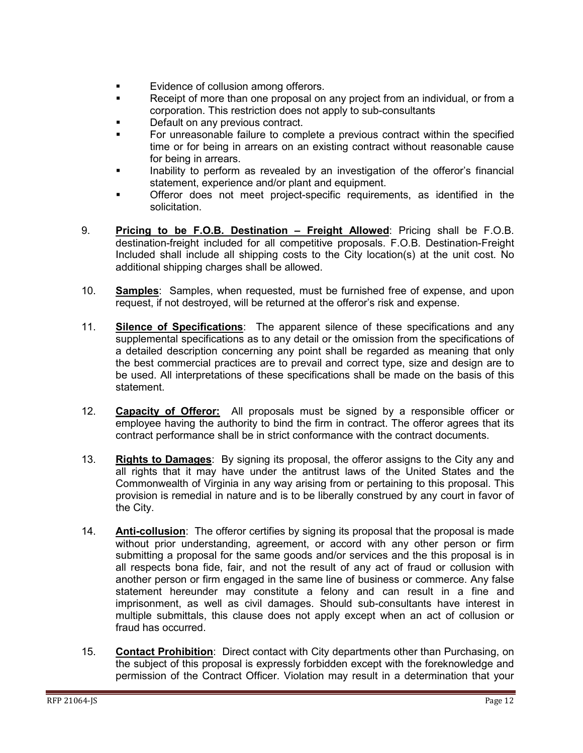- **Evidence of collusion among offerors.**
- Receipt of more than one proposal on any project from an individual, or from a corporation. This restriction does not apply to sub-consultants
- **Default on any previous contract.**
- For unreasonable failure to complete a previous contract within the specified time or for being in arrears on an existing contract without reasonable cause for being in arrears.
- **Inability to perform as revealed by an investigation of the offeror's financial** statement, experience and/or plant and equipment.
- Offeror does not meet project-specific requirements, as identified in the solicitation.
- 9. **Pricing to be F.O.B. Destination – Freight Allowed**: Pricing shall be F.O.B. destination-freight included for all competitive proposals. F.O.B. Destination-Freight Included shall include all shipping costs to the City location(s) at the unit cost. No additional shipping charges shall be allowed.
- 10. **Samples**: Samples, when requested, must be furnished free of expense, and upon request, if not destroyed, will be returned at the offeror's risk and expense.
- 11. **Silence of Specifications**: The apparent silence of these specifications and any supplemental specifications as to any detail or the omission from the specifications of a detailed description concerning any point shall be regarded as meaning that only the best commercial practices are to prevail and correct type, size and design are to be used. All interpretations of these specifications shall be made on the basis of this statement.
- 12. **Capacity of Offeror:** All proposals must be signed by a responsible officer or employee having the authority to bind the firm in contract. The offeror agrees that its contract performance shall be in strict conformance with the contract documents.
- 13. **Rights to Damages**: By signing its proposal, the offeror assigns to the City any and all rights that it may have under the antitrust laws of the United States and the Commonwealth of Virginia in any way arising from or pertaining to this proposal. This provision is remedial in nature and is to be liberally construed by any court in favor of the City.
- 14. **Anti-collusion**: The offeror certifies by signing its proposal that the proposal is made without prior understanding, agreement, or accord with any other person or firm submitting a proposal for the same goods and/or services and the this proposal is in all respects bona fide, fair, and not the result of any act of fraud or collusion with another person or firm engaged in the same line of business or commerce. Any false statement hereunder may constitute a felony and can result in a fine and imprisonment, as well as civil damages. Should sub-consultants have interest in multiple submittals, this clause does not apply except when an act of collusion or fraud has occurred.
- 15. **Contact Prohibition**: Direct contact with City departments other than Purchasing, on the subject of this proposal is expressly forbidden except with the foreknowledge and permission of the Contract Officer. Violation may result in a determination that your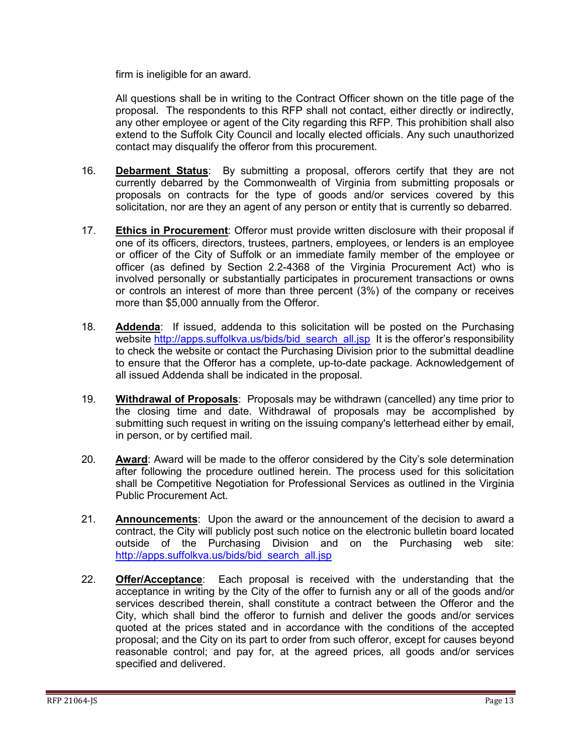firm is ineligible for an award.

All questions shall be in writing to the Contract Officer shown on the title page of the proposal. The respondents to this RFP shall not contact, either directly or indirectly, any other employee or agent of the City regarding this RFP. This prohibition shall also extend to the Suffolk City Council and locally elected officials. Any such unauthorized contact may disqualify the offeror from this procurement.

- 16. **Debarment Status**: By submitting a proposal, offerors certify that they are not currently debarred by the Commonwealth of Virginia from submitting proposals or proposals on contracts for the type of goods and/or services covered by this solicitation, nor are they an agent of any person or entity that is currently so debarred.
- 17. **Ethics in Procurement**: Offeror must provide written disclosure with their proposal if one of its officers, directors, trustees, partners, employees, or lenders is an employee or officer of the City of Suffolk or an immediate family member of the employee or officer (as defined by Section 2.2-4368 of the Virginia Procurement Act) who is involved personally or substantially participates in procurement transactions or owns or controls an interest of more than three percent (3%) of the company or receives more than \$5,000 annually from the Offeror.
- 18. **Addenda**: If issued, addenda to this solicitation will be posted on the Purchasing website [http://apps.suffolkva.us/bids/bid\\_search\\_all.jsp](http://apps.suffolkva.us/bids/bid_search_all.jsp) It is the offeror's responsibility to check the website or contact the Purchasing Division prior to the submittal deadline to ensure that the Offeror has a complete, up-to-date package. Acknowledgement of all issued Addenda shall be indicated in the proposal.
- 19. **Withdrawal of Proposals**: Proposals may be withdrawn (cancelled) any time prior to the closing time and date. Withdrawal of proposals may be accomplished by submitting such request in writing on the issuing company's letterhead either by email, in person, or by certified mail.
- 20. **Award**: Award will be made to the offeror considered by the City's sole determination after following the procedure outlined herein. The process used for this solicitation shall be Competitive Negotiation for Professional Services as outlined in the Virginia Public Procurement Act.
- 21. **Announcements**: Upon the award or the announcement of the decision to award a contract, the City will publicly post such notice on the electronic bulletin board located outside of the Purchasing Division and on the Purchasing web site: [http://apps.suffolkva.us/bids/bid\\_search\\_all.jsp](http://apps.suffolkva.us/bids/bid_search_all.jsp)
- 22. **Offer/Acceptance**: Each proposal is received with the understanding that the acceptance in writing by the City of the offer to furnish any or all of the goods and/or services described therein, shall constitute a contract between the Offeror and the City, which shall bind the offeror to furnish and deliver the goods and/or services quoted at the prices stated and in accordance with the conditions of the accepted proposal; and the City on its part to order from such offeror, except for causes beyond reasonable control; and pay for, at the agreed prices, all goods and/or services specified and delivered.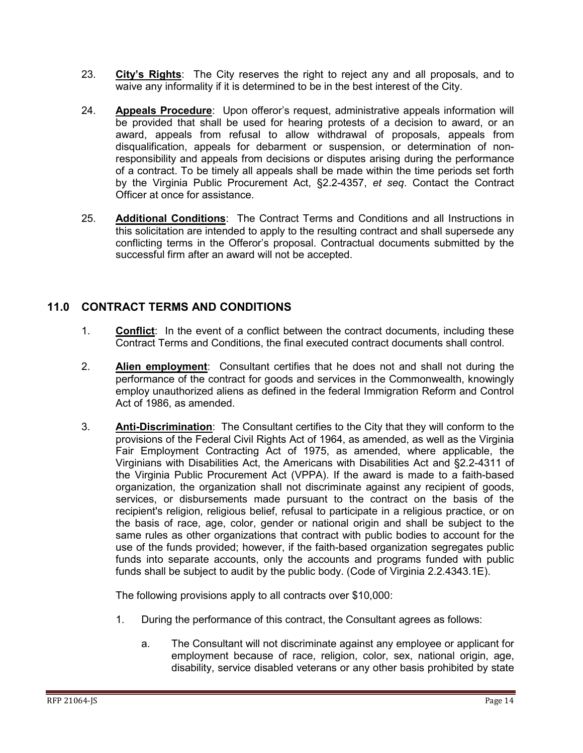- 23. **City's Rights**: The City reserves the right to reject any and all proposals, and to waive any informality if it is determined to be in the best interest of the City.
- 24. **Appeals Procedure**: Upon offeror's request, administrative appeals information will be provided that shall be used for hearing protests of a decision to award, or an award, appeals from refusal to allow withdrawal of proposals, appeals from disqualification, appeals for debarment or suspension, or determination of nonresponsibility and appeals from decisions or disputes arising during the performance of a contract. To be timely all appeals shall be made within the time periods set forth by the Virginia Public Procurement Act, §2.2-4357, *et seq*. Contact the Contract Officer at once for assistance.
- 25. **Additional Conditions**: The Contract Terms and Conditions and all Instructions in this solicitation are intended to apply to the resulting contract and shall supersede any conflicting terms in the Offeror's proposal. Contractual documents submitted by the successful firm after an award will not be accepted.

### **11.0 CONTRACT TERMS AND CONDITIONS**

- 1. **Conflict**: In the event of a conflict between the contract documents, including these Contract Terms and Conditions, the final executed contract documents shall control.
- 2. **Alien employment**: Consultant certifies that he does not and shall not during the performance of the contract for goods and services in the Commonwealth, knowingly employ unauthorized aliens as defined in the federal Immigration Reform and Control Act of 1986, as amended.
- 3. **Anti-Discrimination**: The Consultant certifies to the City that they will conform to the provisions of the Federal Civil Rights Act of 1964, as amended, as well as the Virginia Fair Employment Contracting Act of 1975, as amended, where applicable, the Virginians with Disabilities Act, the Americans with Disabilities Act and §2.2-4311 of the Virginia Public Procurement Act (VPPA). If the award is made to a faith-based organization, the organization shall not discriminate against any recipient of goods, services, or disbursements made pursuant to the contract on the basis of the recipient's religion, religious belief, refusal to participate in a religious practice, or on the basis of race, age, color, gender or national origin and shall be subject to the same rules as other organizations that contract with public bodies to account for the use of the funds provided; however, if the faith-based organization segregates public funds into separate accounts, only the accounts and programs funded with public funds shall be subject to audit by the public body. (Code of Virginia 2.2.4343.1E).

The following provisions apply to all contracts over \$10,000:

- 1. During the performance of this contract, the Consultant agrees as follows:
	- a. The Consultant will not discriminate against any employee or applicant for employment because of race, religion, color, sex, national origin, age, disability, service disabled veterans or any other basis prohibited by state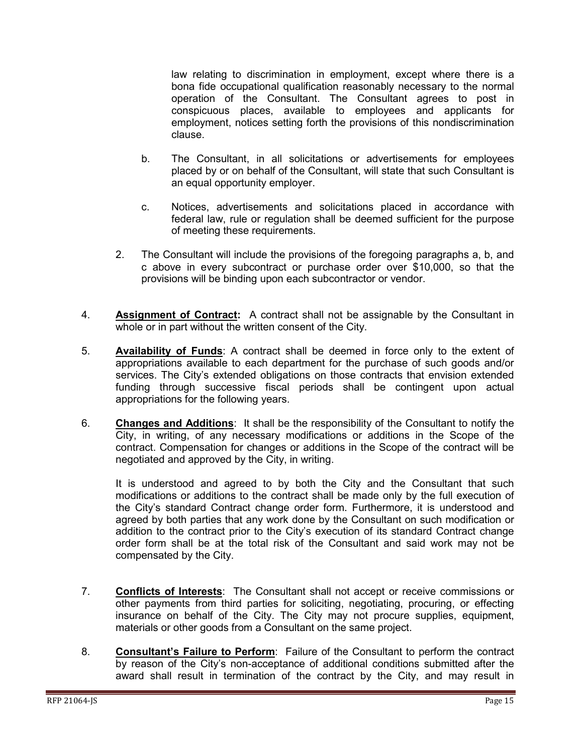law relating to discrimination in employment, except where there is a bona fide occupational qualification reasonably necessary to the normal operation of the Consultant. The Consultant agrees to post in conspicuous places, available to employees and applicants for employment, notices setting forth the provisions of this nondiscrimination clause.

- b. The Consultant, in all solicitations or advertisements for employees placed by or on behalf of the Consultant, will state that such Consultant is an equal opportunity employer.
- c. Notices, advertisements and solicitations placed in accordance with federal law, rule or regulation shall be deemed sufficient for the purpose of meeting these requirements.
- 2. The Consultant will include the provisions of the foregoing paragraphs a, b, and c above in every subcontract or purchase order over \$10,000, so that the provisions will be binding upon each subcontractor or vendor.
- 4. **Assignment of Contract:** A contract shall not be assignable by the Consultant in whole or in part without the written consent of the City.
- 5. **Availability of Funds**: A contract shall be deemed in force only to the extent of appropriations available to each department for the purchase of such goods and/or services. The City's extended obligations on those contracts that envision extended funding through successive fiscal periods shall be contingent upon actual appropriations for the following years.
- 6. **Changes and Additions**: It shall be the responsibility of the Consultant to notify the City, in writing, of any necessary modifications or additions in the Scope of the contract. Compensation for changes or additions in the Scope of the contract will be negotiated and approved by the City, in writing.

It is understood and agreed to by both the City and the Consultant that such modifications or additions to the contract shall be made only by the full execution of the City's standard Contract change order form. Furthermore, it is understood and agreed by both parties that any work done by the Consultant on such modification or addition to the contract prior to the City's execution of its standard Contract change order form shall be at the total risk of the Consultant and said work may not be compensated by the City.

- 7. **Conflicts of Interests**: The Consultant shall not accept or receive commissions or other payments from third parties for soliciting, negotiating, procuring, or effecting insurance on behalf of the City. The City may not procure supplies, equipment, materials or other goods from a Consultant on the same project.
- 8. **Consultant's Failure to Perform**: Failure of the Consultant to perform the contract by reason of the City's non-acceptance of additional conditions submitted after the award shall result in termination of the contract by the City, and may result in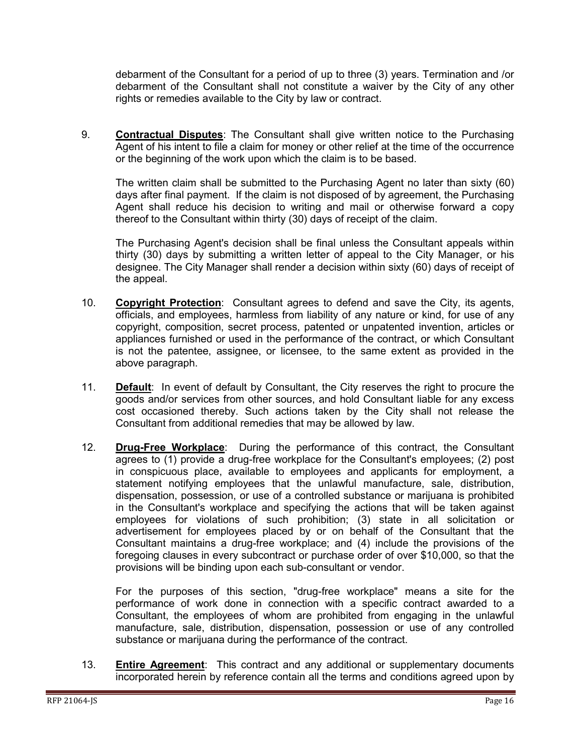debarment of the Consultant for a period of up to three (3) years. Termination and /or debarment of the Consultant shall not constitute a waiver by the City of any other rights or remedies available to the City by law or contract.

9. **Contractual Disputes**: The Consultant shall give written notice to the Purchasing Agent of his intent to file a claim for money or other relief at the time of the occurrence or the beginning of the work upon which the claim is to be based.

The written claim shall be submitted to the Purchasing Agent no later than sixty (60) days after final payment. If the claim is not disposed of by agreement, the Purchasing Agent shall reduce his decision to writing and mail or otherwise forward a copy thereof to the Consultant within thirty (30) days of receipt of the claim.

The Purchasing Agent's decision shall be final unless the Consultant appeals within thirty (30) days by submitting a written letter of appeal to the City Manager, or his designee. The City Manager shall render a decision within sixty (60) days of receipt of the appeal.

- 10. **Copyright Protection**: Consultant agrees to defend and save the City, its agents, officials, and employees, harmless from liability of any nature or kind, for use of any copyright, composition, secret process, patented or unpatented invention, articles or appliances furnished or used in the performance of the contract, or which Consultant is not the patentee, assignee, or licensee, to the same extent as provided in the above paragraph.
- 11. **Default**: In event of default by Consultant, the City reserves the right to procure the goods and/or services from other sources, and hold Consultant liable for any excess cost occasioned thereby. Such actions taken by the City shall not release the Consultant from additional remedies that may be allowed by law.
- 12. **Drug-Free Workplace**: During the performance of this contract, the Consultant agrees to (1) provide a drug-free workplace for the Consultant's employees; (2) post in conspicuous place, available to employees and applicants for employment, a statement notifying employees that the unlawful manufacture, sale, distribution, dispensation, possession, or use of a controlled substance or marijuana is prohibited in the Consultant's workplace and specifying the actions that will be taken against employees for violations of such prohibition; (3) state in all solicitation or advertisement for employees placed by or on behalf of the Consultant that the Consultant maintains a drug-free workplace; and (4) include the provisions of the foregoing clauses in every subcontract or purchase order of over \$10,000, so that the provisions will be binding upon each sub-consultant or vendor.

For the purposes of this section, "drug-free workplace" means a site for the performance of work done in connection with a specific contract awarded to a Consultant, the employees of whom are prohibited from engaging in the unlawful manufacture, sale, distribution, dispensation, possession or use of any controlled substance or marijuana during the performance of the contract.

13. **Entire Agreement**: This contract and any additional or supplementary documents incorporated herein by reference contain all the terms and conditions agreed upon by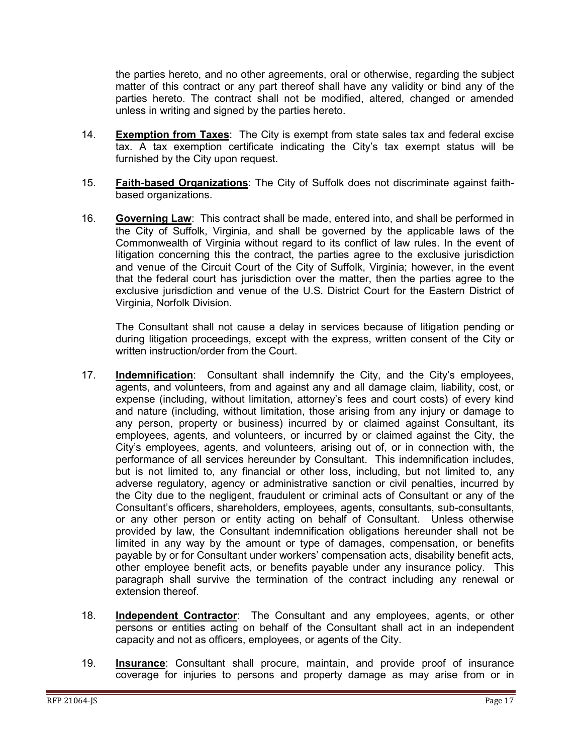the parties hereto, and no other agreements, oral or otherwise, regarding the subject matter of this contract or any part thereof shall have any validity or bind any of the parties hereto. The contract shall not be modified, altered, changed or amended unless in writing and signed by the parties hereto.

- 14. **Exemption from Taxes**: The City is exempt from state sales tax and federal excise tax. A tax exemption certificate indicating the City's tax exempt status will be furnished by the City upon request.
- 15. **Faith-based Organizations**: The City of Suffolk does not discriminate against faithbased organizations.
- 16. **Governing Law**: This contract shall be made, entered into, and shall be performed in the City of Suffolk, Virginia, and shall be governed by the applicable laws of the Commonwealth of Virginia without regard to its conflict of law rules. In the event of litigation concerning this the contract, the parties agree to the exclusive jurisdiction and venue of the Circuit Court of the City of Suffolk, Virginia; however, in the event that the federal court has jurisdiction over the matter, then the parties agree to the exclusive jurisdiction and venue of the U.S. District Court for the Eastern District of Virginia, Norfolk Division.

The Consultant shall not cause a delay in services because of litigation pending or during litigation proceedings, except with the express, written consent of the City or written instruction/order from the Court.

- 17. **Indemnification**: Consultant shall indemnify the City, and the City's employees, agents, and volunteers, from and against any and all damage claim, liability, cost, or expense (including, without limitation, attorney's fees and court costs) of every kind and nature (including, without limitation, those arising from any injury or damage to any person, property or business) incurred by or claimed against Consultant, its employees, agents, and volunteers, or incurred by or claimed against the City, the City's employees, agents, and volunteers, arising out of, or in connection with, the performance of all services hereunder by Consultant. This indemnification includes, but is not limited to, any financial or other loss, including, but not limited to, any adverse regulatory, agency or administrative sanction or civil penalties, incurred by the City due to the negligent, fraudulent or criminal acts of Consultant or any of the Consultant's officers, shareholders, employees, agents, consultants, sub-consultants, or any other person or entity acting on behalf of Consultant. Unless otherwise provided by law, the Consultant indemnification obligations hereunder shall not be limited in any way by the amount or type of damages, compensation, or benefits payable by or for Consultant under workers' compensation acts, disability benefit acts, other employee benefit acts, or benefits payable under any insurance policy. This paragraph shall survive the termination of the contract including any renewal or extension thereof.
- 18. **Independent Contractor**: The Consultant and any employees, agents, or other persons or entities acting on behalf of the Consultant shall act in an independent capacity and not as officers, employees, or agents of the City.
- 19. **Insurance**: Consultant shall procure, maintain, and provide proof of insurance coverage for injuries to persons and property damage as may arise from or in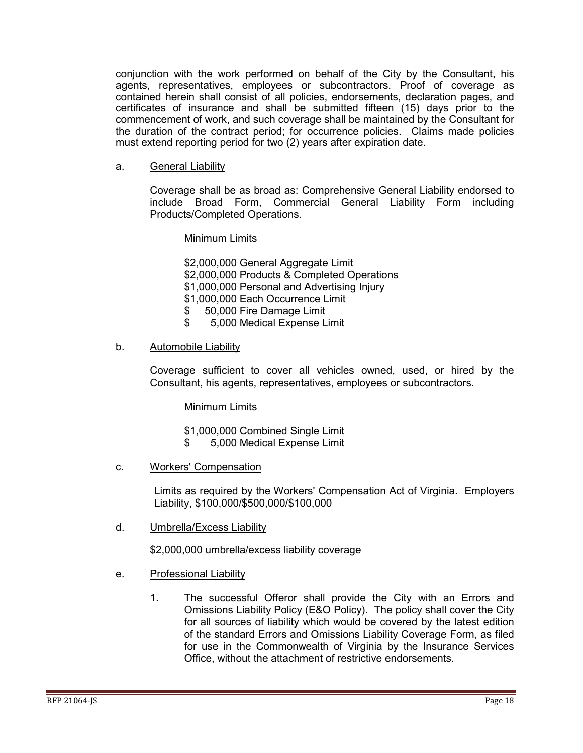conjunction with the work performed on behalf of the City by the Consultant, his agents, representatives, employees or subcontractors. Proof of coverage as contained herein shall consist of all policies, endorsements, declaration pages, and certificates of insurance and shall be submitted fifteen (15) days prior to the commencement of work, and such coverage shall be maintained by the Consultant for the duration of the contract period; for occurrence policies. Claims made policies must extend reporting period for two (2) years after expiration date.

#### a. General Liability

Coverage shall be as broad as: Comprehensive General Liability endorsed to include Broad Form, Commercial General Liability Form including Products/Completed Operations.

Minimum Limits

\$2,000,000 General Aggregate Limit \$2,000,000 Products & Completed Operations \$1,000,000 Personal and Advertising Injury \$1,000,000 Each Occurrence Limit \$ 50,000 Fire Damage Limit

\$ 5,000 Medical Expense Limit

#### b. Automobile Liability

Coverage sufficient to cover all vehicles owned, used, or hired by the Consultant, his agents, representatives, employees or subcontractors.

Minimum Limits

- \$1,000,000 Combined Single Limit
- \$ 5,000 Medical Expense Limit
- c. Workers' Compensation

Limits as required by the Workers' Compensation Act of Virginia. Employers Liability, \$100,000/\$500,000/\$100,000

d. Umbrella/Excess Liability

\$2,000,000 umbrella/excess liability coverage

- e. Professional Liability
	- 1. The successful Offeror shall provide the City with an Errors and Omissions Liability Policy (E&O Policy). The policy shall cover the City for all sources of liability which would be covered by the latest edition of the standard Errors and Omissions Liability Coverage Form, as filed for use in the Commonwealth of Virginia by the Insurance Services Office, without the attachment of restrictive endorsements.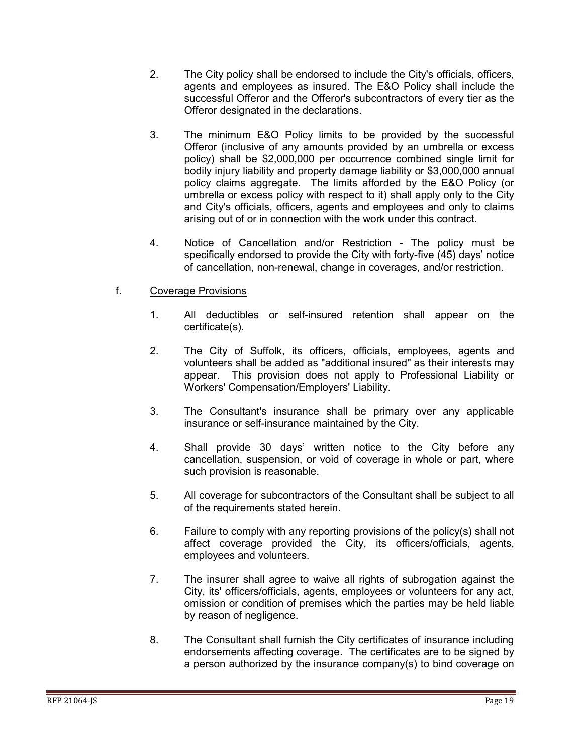- 2. The City policy shall be endorsed to include the City's officials, officers, agents and employees as insured. The E&O Policy shall include the successful Offeror and the Offeror's subcontractors of every tier as the Offeror designated in the declarations.
- 3. The minimum E&O Policy limits to be provided by the successful Offeror (inclusive of any amounts provided by an umbrella or excess policy) shall be \$2,000,000 per occurrence combined single limit for bodily injury liability and property damage liability or \$3,000,000 annual policy claims aggregate. The limits afforded by the E&O Policy (or umbrella or excess policy with respect to it) shall apply only to the City and City's officials, officers, agents and employees and only to claims arising out of or in connection with the work under this contract.
- 4. Notice of Cancellation and/or Restriction The policy must be specifically endorsed to provide the City with forty-five (45) days' notice of cancellation, non-renewal, change in coverages, and/or restriction.
- f. Coverage Provisions
	- 1. All deductibles or self-insured retention shall appear on the certificate(s).
	- 2. The City of Suffolk, its officers, officials, employees, agents and volunteers shall be added as "additional insured" as their interests may appear. This provision does not apply to Professional Liability or Workers' Compensation/Employers' Liability.
	- 3. The Consultant's insurance shall be primary over any applicable insurance or self-insurance maintained by the City.
	- 4. Shall provide 30 days' written notice to the City before any cancellation, suspension, or void of coverage in whole or part, where such provision is reasonable.
	- 5. All coverage for subcontractors of the Consultant shall be subject to all of the requirements stated herein.
	- 6. Failure to comply with any reporting provisions of the policy(s) shall not affect coverage provided the City, its officers/officials, agents, employees and volunteers.
	- 7. The insurer shall agree to waive all rights of subrogation against the City, its' officers/officials, agents, employees or volunteers for any act, omission or condition of premises which the parties may be held liable by reason of negligence.
	- 8. The Consultant shall furnish the City certificates of insurance including endorsements affecting coverage. The certificates are to be signed by a person authorized by the insurance company(s) to bind coverage on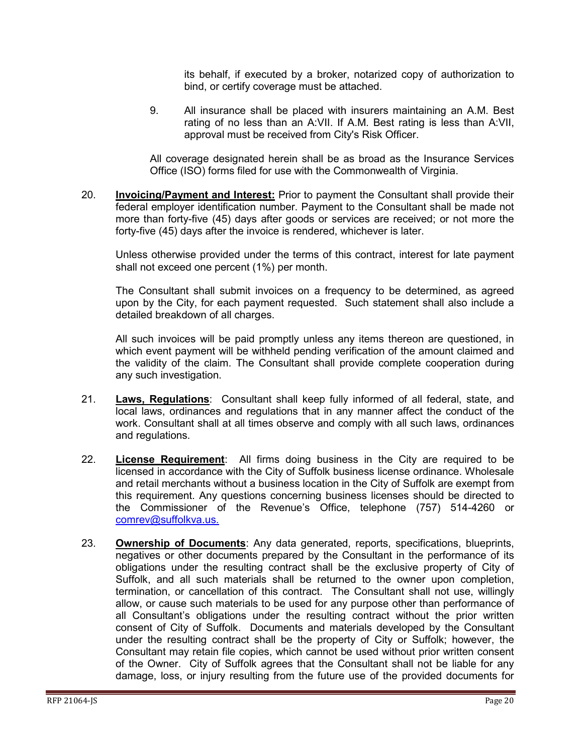its behalf, if executed by a broker, notarized copy of authorization to bind, or certify coverage must be attached.

9. All insurance shall be placed with insurers maintaining an A.M. Best rating of no less than an A:VII. If A.M. Best rating is less than A:VII, approval must be received from City's Risk Officer.

All coverage designated herein shall be as broad as the Insurance Services Office (ISO) forms filed for use with the Commonwealth of Virginia.

20. **Invoicing/Payment and Interest:** Prior to payment the Consultant shall provide their federal employer identification number. Payment to the Consultant shall be made not more than forty-five (45) days after goods or services are received; or not more the forty-five (45) days after the invoice is rendered, whichever is later.

Unless otherwise provided under the terms of this contract, interest for late payment shall not exceed one percent (1%) per month.

The Consultant shall submit invoices on a frequency to be determined, as agreed upon by the City, for each payment requested. Such statement shall also include a detailed breakdown of all charges.

All such invoices will be paid promptly unless any items thereon are questioned, in which event payment will be withheld pending verification of the amount claimed and the validity of the claim. The Consultant shall provide complete cooperation during any such investigation.

- 21. **Laws, Regulations**: Consultant shall keep fully informed of all federal, state, and local laws, ordinances and regulations that in any manner affect the conduct of the work. Consultant shall at all times observe and comply with all such laws, ordinances and regulations.
- 22. **License Requirement**: All firms doing business in the City are required to be licensed in accordance with the City of Suffolk business license ordinance. Wholesale and retail merchants without a business location in the City of Suffolk are exempt from this requirement. Any questions concerning business licenses should be directed to the Commissioner of the Revenue's Office, telephone (757) 514-4260 or [comrev@suffolkva.us.](mailto:comrev@suffolkva.us)
- 23. **Ownership of Documents**: Any data generated, reports, specifications, blueprints, negatives or other documents prepared by the Consultant in the performance of its obligations under the resulting contract shall be the exclusive property of City of Suffolk, and all such materials shall be returned to the owner upon completion, termination, or cancellation of this contract. The Consultant shall not use, willingly allow, or cause such materials to be used for any purpose other than performance of all Consultant's obligations under the resulting contract without the prior written consent of City of Suffolk. Documents and materials developed by the Consultant under the resulting contract shall be the property of City or Suffolk; however, the Consultant may retain file copies, which cannot be used without prior written consent of the Owner. City of Suffolk agrees that the Consultant shall not be liable for any damage, loss, or injury resulting from the future use of the provided documents for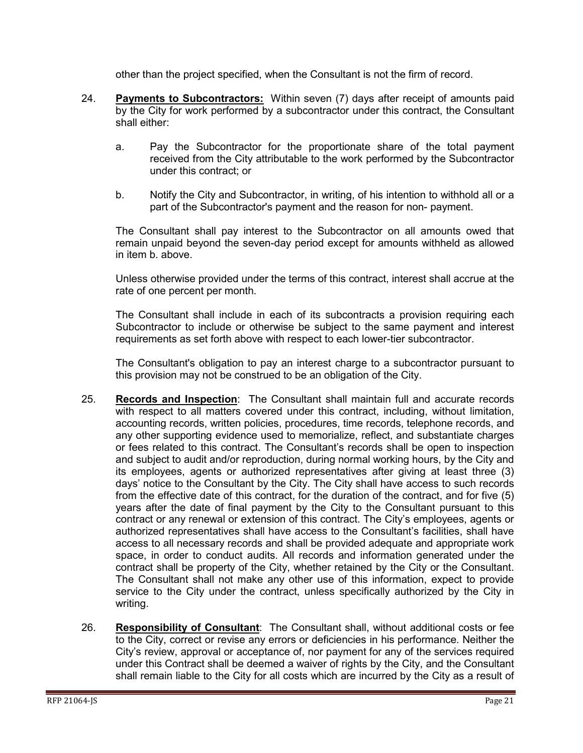other than the project specified, when the Consultant is not the firm of record.

- 24. **Payments to Subcontractors:** Within seven (7) days after receipt of amounts paid by the City for work performed by a subcontractor under this contract, the Consultant shall either:
	- a. Pay the Subcontractor for the proportionate share of the total payment received from the City attributable to the work performed by the Subcontractor under this contract; or
	- b. Notify the City and Subcontractor, in writing, of his intention to withhold all or a part of the Subcontractor's payment and the reason for non- payment.

The Consultant shall pay interest to the Subcontractor on all amounts owed that remain unpaid beyond the seven-day period except for amounts withheld as allowed in item b. above.

Unless otherwise provided under the terms of this contract, interest shall accrue at the rate of one percent per month.

The Consultant shall include in each of its subcontracts a provision requiring each Subcontractor to include or otherwise be subject to the same payment and interest requirements as set forth above with respect to each lower-tier subcontractor.

The Consultant's obligation to pay an interest charge to a subcontractor pursuant to this provision may not be construed to be an obligation of the City.

- 25. **Records and Inspection**: The Consultant shall maintain full and accurate records with respect to all matters covered under this contract, including, without limitation, accounting records, written policies, procedures, time records, telephone records, and any other supporting evidence used to memorialize, reflect, and substantiate charges or fees related to this contract. The Consultant's records shall be open to inspection and subject to audit and/or reproduction, during normal working hours, by the City and its employees, agents or authorized representatives after giving at least three (3) days' notice to the Consultant by the City. The City shall have access to such records from the effective date of this contract, for the duration of the contract, and for five (5) years after the date of final payment by the City to the Consultant pursuant to this contract or any renewal or extension of this contract. The City's employees, agents or authorized representatives shall have access to the Consultant's facilities, shall have access to all necessary records and shall be provided adequate and appropriate work space, in order to conduct audits. All records and information generated under the contract shall be property of the City, whether retained by the City or the Consultant. The Consultant shall not make any other use of this information, expect to provide service to the City under the contract, unless specifically authorized by the City in writing.
- 26. **Responsibility of Consultant**: The Consultant shall, without additional costs or fee to the City, correct or revise any errors or deficiencies in his performance. Neither the City's review, approval or acceptance of, nor payment for any of the services required under this Contract shall be deemed a waiver of rights by the City, and the Consultant shall remain liable to the City for all costs which are incurred by the City as a result of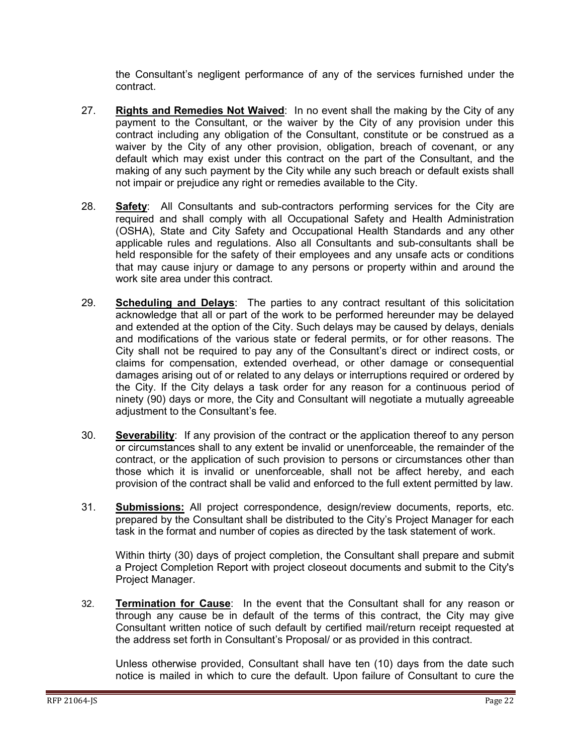the Consultant's negligent performance of any of the services furnished under the contract.

- 27. **Rights and Remedies Not Waived**: In no event shall the making by the City of any payment to the Consultant, or the waiver by the City of any provision under this contract including any obligation of the Consultant, constitute or be construed as a waiver by the City of any other provision, obligation, breach of covenant, or any default which may exist under this contract on the part of the Consultant, and the making of any such payment by the City while any such breach or default exists shall not impair or prejudice any right or remedies available to the City.
- 28. **Safety**: All Consultants and sub-contractors performing services for the City are required and shall comply with all Occupational Safety and Health Administration (OSHA), State and City Safety and Occupational Health Standards and any other applicable rules and regulations. Also all Consultants and sub-consultants shall be held responsible for the safety of their employees and any unsafe acts or conditions that may cause injury or damage to any persons or property within and around the work site area under this contract.
- 29. **Scheduling and Delays**: The parties to any contract resultant of this solicitation acknowledge that all or part of the work to be performed hereunder may be delayed and extended at the option of the City. Such delays may be caused by delays, denials and modifications of the various state or federal permits, or for other reasons. The City shall not be required to pay any of the Consultant's direct or indirect costs, or claims for compensation, extended overhead, or other damage or consequential damages arising out of or related to any delays or interruptions required or ordered by the City. If the City delays a task order for any reason for a continuous period of ninety (90) days or more, the City and Consultant will negotiate a mutually agreeable adjustment to the Consultant's fee.
- 30. **Severability**: If any provision of the contract or the application thereof to any person or circumstances shall to any extent be invalid or unenforceable, the remainder of the contract, or the application of such provision to persons or circumstances other than those which it is invalid or unenforceable, shall not be affect hereby, and each provision of the contract shall be valid and enforced to the full extent permitted by law.
- 31. **Submissions:** All project correspondence, design/review documents, reports, etc. prepared by the Consultant shall be distributed to the City's Project Manager for each task in the format and number of copies as directed by the task statement of work.

Within thirty (30) days of project completion, the Consultant shall prepare and submit a Project Completion Report with project closeout documents and submit to the City's Project Manager.

32. **Termination for Cause**: In the event that the Consultant shall for any reason or through any cause be in default of the terms of this contract, the City may give Consultant written notice of such default by certified mail/return receipt requested at the address set forth in Consultant's Proposal/ or as provided in this contract.

Unless otherwise provided, Consultant shall have ten (10) days from the date such notice is mailed in which to cure the default. Upon failure of Consultant to cure the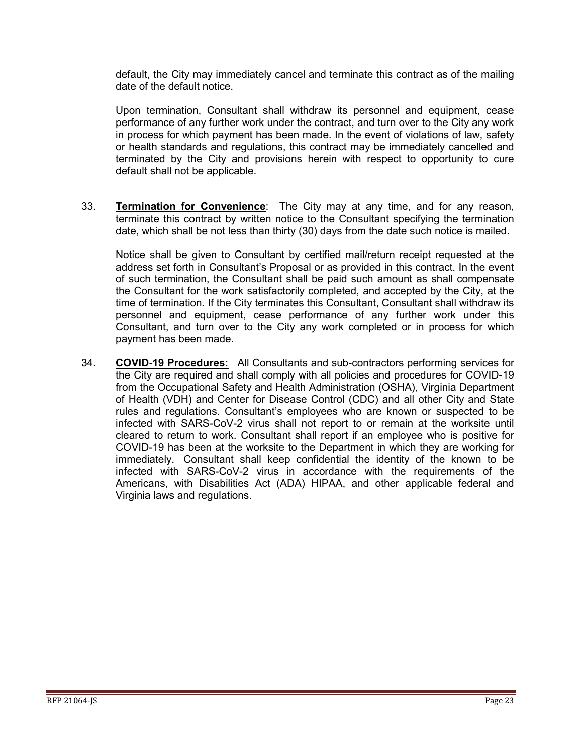default, the City may immediately cancel and terminate this contract as of the mailing date of the default notice.

Upon termination, Consultant shall withdraw its personnel and equipment, cease performance of any further work under the contract, and turn over to the City any work in process for which payment has been made. In the event of violations of law, safety or health standards and regulations, this contract may be immediately cancelled and terminated by the City and provisions herein with respect to opportunity to cure default shall not be applicable.

33. **Termination for Convenience**: The City may at any time, and for any reason, terminate this contract by written notice to the Consultant specifying the termination date, which shall be not less than thirty (30) days from the date such notice is mailed.

Notice shall be given to Consultant by certified mail/return receipt requested at the address set forth in Consultant's Proposal or as provided in this contract. In the event of such termination, the Consultant shall be paid such amount as shall compensate the Consultant for the work satisfactorily completed, and accepted by the City, at the time of termination. If the City terminates this Consultant, Consultant shall withdraw its personnel and equipment, cease performance of any further work under this Consultant, and turn over to the City any work completed or in process for which payment has been made.

34. **COVID-19 Procedures:** All Consultants and sub-contractors performing services for the City are required and shall comply with all policies and procedures for COVID-19 from the Occupational Safety and Health Administration (OSHA), Virginia Department of Health (VDH) and Center for Disease Control (CDC) and all other City and State rules and regulations. Consultant's employees who are known or suspected to be infected with SARS-CoV-2 virus shall not report to or remain at the worksite until cleared to return to work. Consultant shall report if an employee who is positive for COVID-19 has been at the worksite to the Department in which they are working for immediately. Consultant shall keep confidential the identity of the known to be infected with SARS-CoV-2 virus in accordance with the requirements of the Americans, with Disabilities Act (ADA) HIPAA, and other applicable federal and Virginia laws and regulations.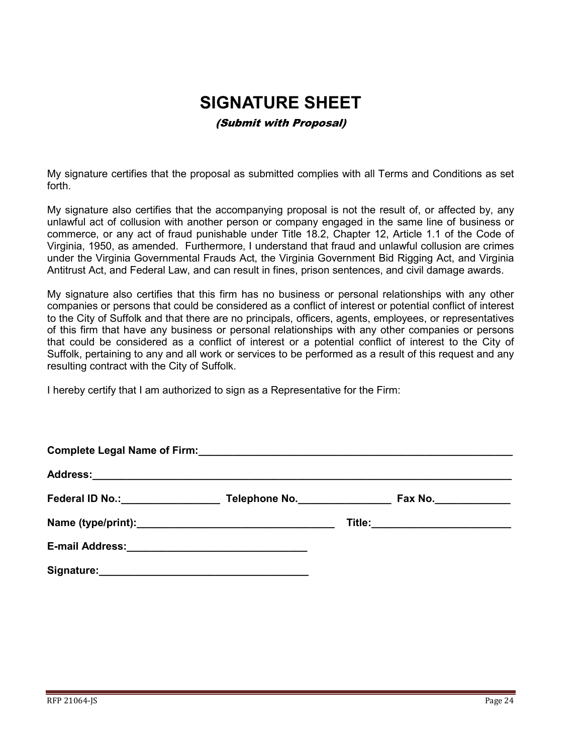# **SIGNATURE SHEET**

#### (Submit with Proposal)

<span id="page-23-0"></span>My signature certifies that the proposal as submitted complies with all Terms and Conditions as set forth.

My signature also certifies that the accompanying proposal is not the result of, or affected by, any unlawful act of collusion with another person or company engaged in the same line of business or commerce, or any act of fraud punishable under Title 18.2, Chapter 12, Article 1.1 of the Code of Virginia, 1950, as amended. Furthermore, I understand that fraud and unlawful collusion are crimes under the Virginia Governmental Frauds Act, the Virginia Government Bid Rigging Act, and Virginia Antitrust Act, and Federal Law, and can result in fines, prison sentences, and civil damage awards.

My signature also certifies that this firm has no business or personal relationships with any other companies or persons that could be considered as a conflict of interest or potential conflict of interest to the City of Suffolk and that there are no principals, officers, agents, employees, or representatives of this firm that have any business or personal relationships with any other companies or persons that could be considered as a conflict of interest or a potential conflict of interest to the City of Suffolk, pertaining to any and all work or services to be performed as a result of this request and any resulting contract with the City of Suffolk.

I hereby certify that I am authorized to sign as a Representative for the Firm:

| Federal ID No.: Management Control Control Control Control Control Control Control Control Control Control Control Control Control Control Control Control Control Control Control Control Control Control Control Control Con | Telephone No. | Fax No.________________         |  |  |  |
|--------------------------------------------------------------------------------------------------------------------------------------------------------------------------------------------------------------------------------|---------------|---------------------------------|--|--|--|
|                                                                                                                                                                                                                                |               | Title:_________________________ |  |  |  |
|                                                                                                                                                                                                                                |               |                                 |  |  |  |
| Signature:                                                                                                                                                                                                                     |               |                                 |  |  |  |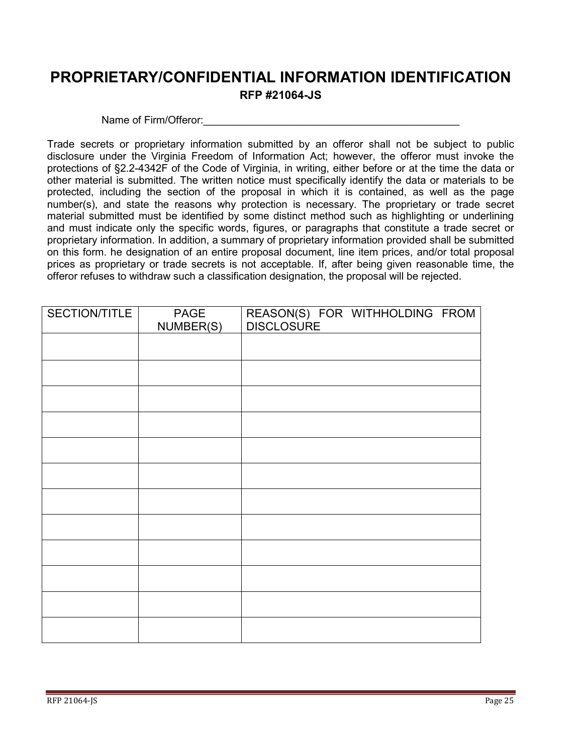## <span id="page-24-0"></span>**PROPRIETARY/CONFIDENTIAL INFORMATION IDENTIFICATION RFP #21064-JS**

#### Name of Firm/Offeror:

Trade secrets or proprietary information submitted by an offeror shall not be subject to public disclosure under the Virginia Freedom of Information Act; however, the offeror must invoke the protections of §2.2-4342F of the Code of Virginia, in writing, either before or at the time the data or other material is submitted. The written notice must specifically identify the data or materials to be protected, including the section of the proposal in which it is contained, as well as the page number(s), and state the reasons why protection is necessary. The proprietary or trade secret material submitted must be identified by some distinct method such as highlighting or underlining and must indicate only the specific words, figures, or paragraphs that constitute a trade secret or proprietary information. In addition, a summary of proprietary information provided shall be submitted on this form. he designation of an entire proposal document, line item prices, and/or total proposal prices as proprietary or trade secrets is not acceptable. If, after being given reasonable time, the offeror refuses to withdraw such a classification designation, the proposal will be rejected.

| SECTION/TITLE | PAGE<br>NUMBER(S) | REASON(S) FOR WITHHOLDING FROM<br><b>DISCLOSURE</b> |
|---------------|-------------------|-----------------------------------------------------|
|               |                   |                                                     |
|               |                   |                                                     |
|               |                   |                                                     |
|               |                   |                                                     |
|               |                   |                                                     |
|               |                   |                                                     |
|               |                   |                                                     |
|               |                   |                                                     |
|               |                   |                                                     |
|               |                   |                                                     |
|               |                   |                                                     |
|               |                   |                                                     |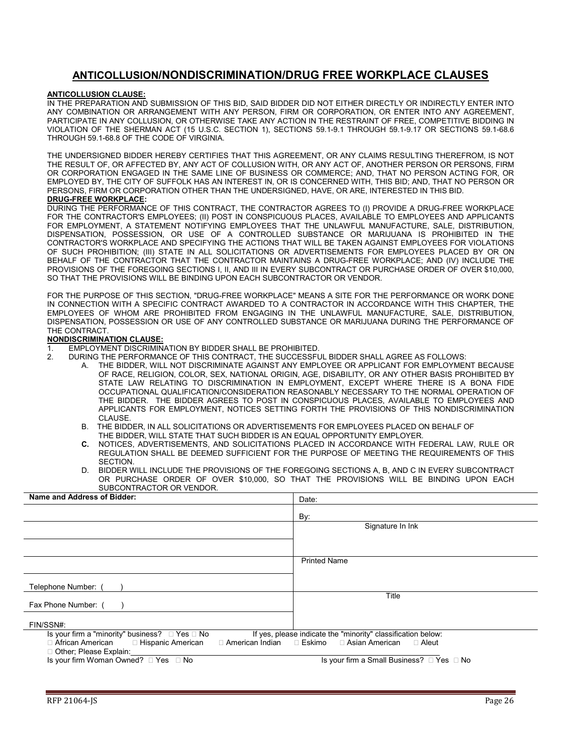#### **ANTICOLLUSION/NONDISCRIMINATION/DRUG FREE WORKPLACE CLAUSES**

#### <span id="page-25-0"></span>**ANTICOLLUSION CLAUSE:**

IN THE PREPARATION AND SUBMISSION OF THIS BID, SAID BIDDER DID NOT EITHER DIRECTLY OR INDIRECTLY ENTER INTO ANY COMBINATION OR ARRANGEMENT WITH ANY PERSON, FIRM OR CORPORATION, OR ENTER INTO ANY AGREEMENT, PARTICIPATE IN ANY COLLUSION, OR OTHERWISE TAKE ANY ACTION IN THE RESTRAINT OF FREE, COMPETITIVE BIDDING IN VIOLATION OF THE SHERMAN ACT (15 U.S.C. SECTION 1), SECTIONS 59.1-9.1 THROUGH 59.1-9.17 OR SECTIONS 59.1-68.6 THROUGH 59.1-68.8 OF THE CODE OF VIRGINIA.

THE UNDERSIGNED BIDDER HEREBY CERTIFIES THAT THIS AGREEMENT, OR ANY CLAIMS RESULTING THEREFROM, IS NOT THE RESULT OF, OR AFFECTED BY, ANY ACT OF COLLUSION WITH, OR ANY ACT OF, ANOTHER PERSON OR PERSONS, FIRM OR CORPORATION ENGAGED IN THE SAME LINE OF BUSINESS OR COMMERCE; AND, THAT NO PERSON ACTING FOR, OR EMPLOYED BY, THE CITY OF SUFFOLK HAS AN INTEREST IN, OR IS CONCERNED WITH, THIS BID; AND, THAT NO PERSON OR PERSONS, FIRM OR CORPORATION OTHER THAN THE UNDERSIGNED, HAVE, OR ARE, INTERESTED IN THIS BID.

#### **DRUG-FREE WORKPLACE:**

DURING THE PERFORMANCE OF THIS CONTRACT, THE CONTRACTOR AGREES TO (I) PROVIDE A DRUG-FREE WORKPLACE FOR THE CONTRACTOR'S EMPLOYEES; (II) POST IN CONSPICUOUS PLACES, AVAILABLE TO EMPLOYEES AND APPLICANTS FOR EMPLOYMENT, A STATEMENT NOTIFYING EMPLOYEES THAT THE UNLAWFUL MANUFACTURE, SALE, DISTRIBUTION, DISPENSATION, POSSESSION, OR USE OF A CONTROLLED SUBSTANCE OR MARIJUANA IS PROHIBITED IN THE CONTRACTOR'S WORKPLACE AND SPECIFYING THE ACTIONS THAT WILL BE TAKEN AGAINST EMPLOYEES FOR VIOLATIONS OF SUCH PROHIBITION; (III) STATE IN ALL SOLICITATIONS OR ADVERTISEMENTS FOR EMPLOYEES PLACED BY OR ON BEHALF OF THE CONTRACTOR THAT THE CONTRACTOR MAINTAINS A DRUG-FREE WORKPLACE; AND (IV) INCLUDE THE PROVISIONS OF THE FOREGOING SECTIONS I, II, AND III IN EVERY SUBCONTRACT OR PURCHASE ORDER OF OVER \$10,000, SO THAT THE PROVISIONS WILL BE BINDING UPON EACH SUBCONTRACTOR OR VENDOR.

FOR THE PURPOSE OF THIS SECTION, "DRUG-FREE WORKPLACE" MEANS A SITE FOR THE PERFORMANCE OR WORK DONE IN CONNECTION WITH A SPECIFIC CONTRACT AWARDED TO A CONTRACTOR IN ACCORDANCE WITH THIS CHAPTER, THE EMPLOYEES OF WHOM ARE PROHIBITED FROM ENGAGING IN THE UNLAWFUL MANUFACTURE, SALE, DISTRIBUTION, DISPENSATION, POSSESSION OR USE OF ANY CONTROLLED SUBSTANCE OR MARIJUANA DURING THE PERFORMANCE OF THE CONTRACT.

#### **NONDISCRIMINATION CLAUSE:**

- 1. EMPLOYMENT DISCRIMINATION BY BIDDER SHALL BE PROHIBITED.<br>2. DURING THE PERFORMANCE OF THIS CONTRACT. THE SUCCESSEL
	- 2. DURING THE PERFORMANCE OF THIS CONTRACT, THE SUCCESSFUL BIDDER SHALL AGREE AS FOLLOWS:
		- A. THE BIDDER, WILL NOT DISCRIMINATE AGAINST ANY EMPLOYEE OR APPLICANT FOR EMPLOYMENT BECAUSE OF RACE, RELIGION, COLOR, SEX, NATIONAL ORIGIN, AGE, DISABILITY, OR ANY OTHER BASIS PROHIBITED BY STATE LAW RELATING TO DISCRIMINATION IN EMPLOYMENT, EXCEPT WHERE THERE IS A BONA FIDE OCCUPATIONAL QUALIFICATION/CONSIDERATION REASONABLY NECESSARY TO THE NORMAL OPERATION OF THE BIDDER. THE BIDDER AGREES TO POST IN CONSPICUOUS PLACES, AVAILABLE TO EMPLOYEES AND APPLICANTS FOR EMPLOYMENT, NOTICES SETTING FORTH THE PROVISIONS OF THIS NONDISCRIMINATION CLAUSE.
		- B. THE BIDDER, IN ALL SOLICITATIONS OR ADVERTISEMENTS FOR EMPLOYEES PLACED ON BEHALF OF THE BIDDER, WILL STATE THAT SUCH BIDDER IS AN EQUAL OPPORTUNITY EMPLOYER.<br>C. NOTICES ADVERTISEMENTS AND SOLICITATIONS PLACED IN ACCORDANCE WITH F
		- **C.** NOTICES, ADVERTISEMENTS, AND SOLICITATIONS PLACED IN ACCORDANCE WITH FEDERAL LAW, RULE OR REGULATION SHALL BE DEEMED SUFFICIENT FOR THE PURPOSE OF MEETING THE REQUIREMENTS OF THIS SECTION.
		- D. BIDDER WILL INCLUDE THE PROVISIONS OF THE FOREGOING SECTIONS A, B, AND C IN EVERY SUBCONTRACT OR PURCHASE ORDER OF OVER \$10,000, SO THAT THE PROVISIONS WILL BE BINDING UPON EACH SUBCONTRACTOR OR VENDOR.

| Name and Address of Bidder:                              | Date:                                                                 |
|----------------------------------------------------------|-----------------------------------------------------------------------|
|                                                          | By:                                                                   |
|                                                          | Signature In Ink                                                      |
|                                                          |                                                                       |
|                                                          |                                                                       |
|                                                          | <b>Printed Name</b>                                                   |
|                                                          |                                                                       |
| Telephone Number:                                        |                                                                       |
| Fax Phone Number: (                                      | Title                                                                 |
| FIN/SSN#:                                                |                                                                       |
| Is your firm a "minority" business? $\Box$ Yes $\Box$ No | If yes, please indicate the "minority" classification below:          |
| □ African American<br>□ Hispanic American                | $\Box$ American Indian $\Box$ Eskimo $\Box$ Asian American<br>⊟ Aleut |
| □ Other; Please Explain:                                 |                                                                       |
| Is your firm Woman Owned? $\Box$ Yes $\Box$ No           | Is your firm a Small Business? $\Box$ Yes $\Box$ No                   |